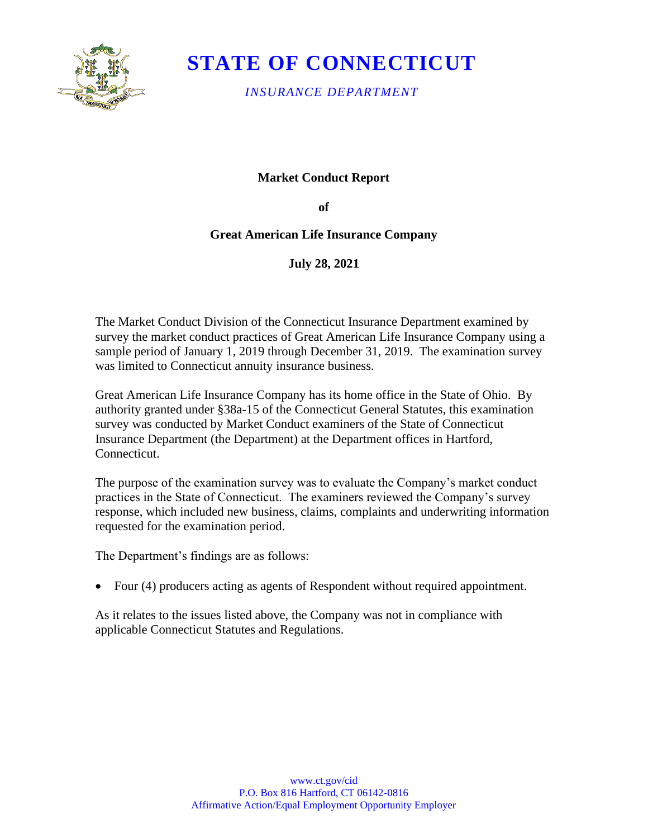

# **STATE OF CONNECTICUT**

*INSURANCE DEPARTMENT*

## **Market Conduct Report**

**of** 

## **Great American Life Insurance Company**

**July 28, 2021**

The Market Conduct Division of the Connecticut Insurance Department examined by survey the market conduct practices of Great American Life Insurance Company using a sample period of January 1, 2019 through December 31, 2019. The examination survey was limited to Connecticut annuity insurance business.

Great American Life Insurance Company has its home office in the State of Ohio. By authority granted under §38a-15 of the Connecticut General Statutes, this examination survey was conducted by Market Conduct examiners of the State of Connecticut Insurance Department (the Department) at the Department offices in Hartford, Connecticut.

The purpose of the examination survey was to evaluate the Company's market conduct practices in the State of Connecticut. The examiners reviewed the Company's survey response, which included new business, claims, complaints and underwriting information requested for the examination period.

The Department's findings are as follows:

• Four (4) producers acting as agents of Respondent without required appointment.

As it relates to the issues listed above, the Company was not in compliance with applicable Connecticut Statutes and Regulations.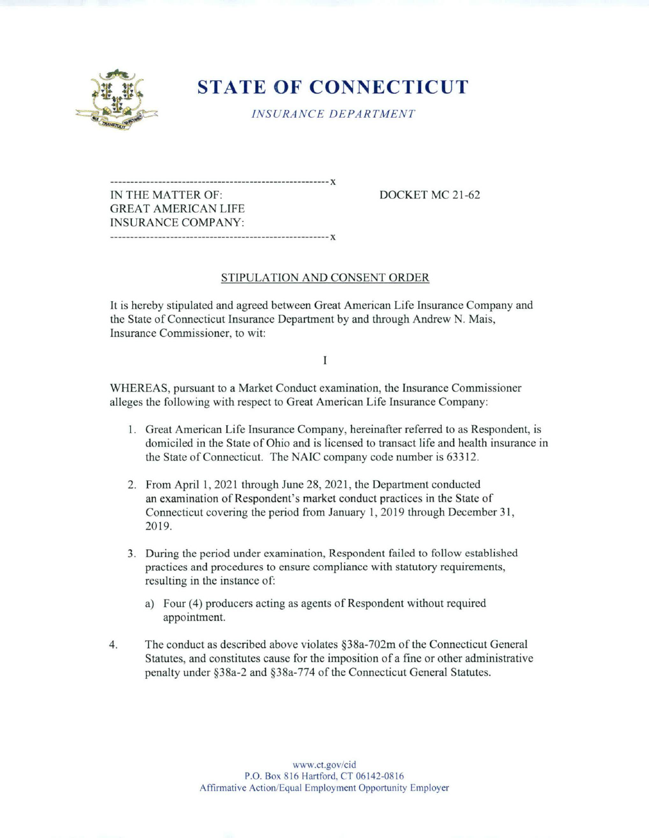

# **STATE OF CONNECTICUT**

INSURANCE DEPARTMENT

IN THE MATTER OF: DOCKET MC 21-62 GREAT AMERICAN LIFE INSURANCE COMPANY: 

### STIPULATION AND CONSENT ORDER

It is hereby stipulated and agreed between Great American Life Insurance Company and the State of Connecticut Insurance Department by and through Andrew N. Mais, Insurance Commissioner, to wit:

I

WHEREAS, pursuant to a Market Conduct examination, the Insurance Commissioner alleges the following with respect to Great American Life Insurance Company:

- 1. Great American Life Insurance Company, hereinafter referred to as Respondent, is domiciled in the State of Ohio and is licensed to transact life and health insurance in the State of Connecticut. The NAIC company code number is 63312.
- 2. From April 1, 2021 through June 28, 2021, the Department conducted an examination of Respondent's market conduct practices in the State of Connecticut covering the period from January 1, 2019 through December 31, 2019.
- 3. During the period under examination, Respondent failed to follow established practices and procedures to ensure compliance with statutory requirements, resulting in the instance of:
	- a) Four (4) producers acting as agents of Respondent without required appointment.
- 4. The conduct as described above violates §38a-702m of the Connecticut General Statutes, and constitutes cause for the imposition of a fine or other administrative penalty under §38a-2 and §38a-774 of the Connecticut General Statutes.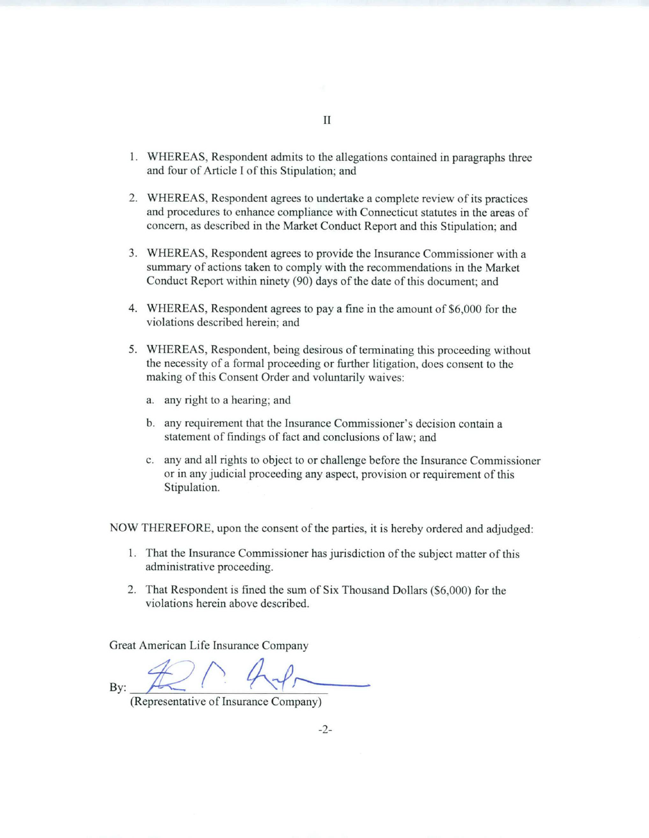- 1. WHEREAS, Respondent admits to the allegations contained in paragraphs three and four of Article I of this Stipulation; and
- 2. WHEREAS, Respondent agrees to undertake a complete review of its practices and procedures to enhance compliance with Connecticut statutes in the areas of concern, as described in the Market Conduct Report and this Stipulation; and
- 3. WHEREAS, Respondent agrees to provide the Insurance Commissioner with a summary of actions taken to comply with the recommendations in the Market Conduct Report within ninety (90) days of the date of this document; and
- 4. WHEREAS, Respondent agrees to pay a fine in the amount of \$6,000 for the violations described herein; and
- 5. WHEREAS, Respondent, being desirous of terminating this proceeding without the necessity of a formal proceeding or further litigation, does consent to the making of this Consent Order and voluntarily waives:
	- a. any right to a hearing; and
	- b. any requirement that the Insurance Commissioner's decision contain a statement of findings of fact and conclusions of law; and
	- c. any and all rights to object to or challenge before the Insurance Commissioner or in any judicial proceeding any aspect, provision or requirement of this Stipulation.

NOW THEREFORE, upon the consent of the parties, it is hereby ordered and adjudged:

- 1. That the Insurance Commissioner has jurisdiction of the subject matter of this administrative proceeding.
- 2. That Respondent is fined the sum of Six Thousand Dollars (\$6,000) for the violations herein above described.

Great American Life Insurance Company

By:

(Representative of Insurance Company)

-2-